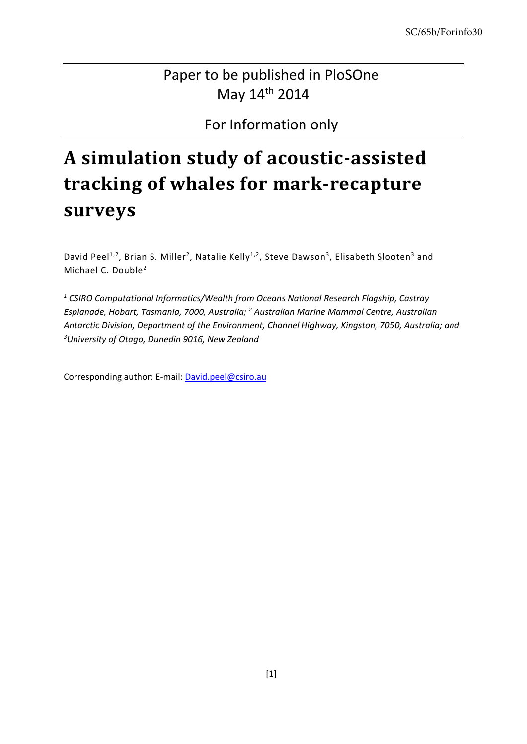# Paper to be published in PloSOne May 14th 2014

# For Information only

# **A simulation study of acoustic‐assisted tracking of whales for mark‐recapture surveys**

David Peel<sup>1,2</sup>, Brian S. Miller<sup>2</sup>, Natalie Kelly<sup>1,2</sup>, Steve Dawson<sup>3</sup>, Elisabeth Slooten<sup>3</sup> and Michael C. Double<sup>2</sup>

*<sup>1</sup> CSIRO Computational Informatics/Wealth from Oceans National Research Flagship, Castray Esplanade, Hobart, Tasmania, 7000, Australia; <sup>2</sup> Australian Marine Mammal Centre, Australian Antarctic Division, Department of the Environment, Channel Highway, Kingston, 7050, Australia; and 3 University of Otago, Dunedin 9016, New Zealand*

Corresponding author: E‐mail: David.peel@csiro.au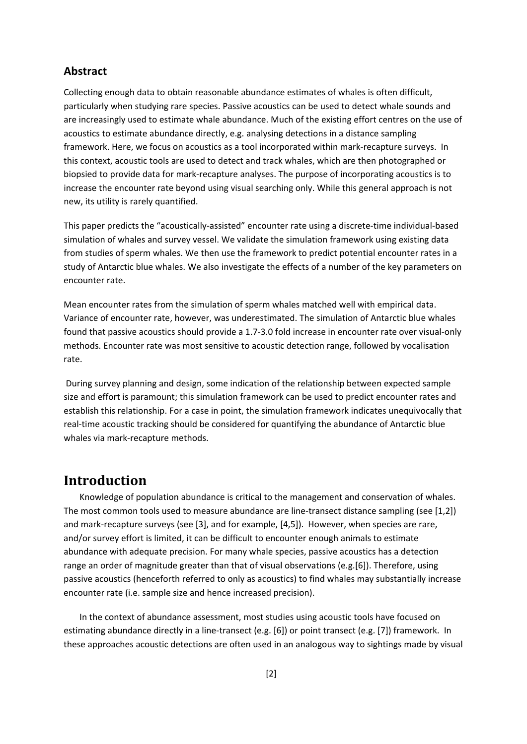#### **Abstract**

Collecting enough data to obtain reasonable abundance estimates of whales is often difficult, particularly when studying rare species. Passive acoustics can be used to detect whale sounds and are increasingly used to estimate whale abundance. Much of the existing effort centres on the use of acoustics to estimate abundance directly, e.g. analysing detections in a distance sampling framework. Here, we focus on acoustics as a tool incorporated within mark-recapture surveys. In this context, acoustic tools are used to detect and track whales, which are then photographed or biopsied to provide data for mark‐recapture analyses. The purpose of incorporating acoustics is to increase the encounter rate beyond using visual searching only. While this general approach is not new, its utility is rarely quantified.

This paper predicts the "acoustically‐assisted" encounter rate using a discrete‐time individual‐based simulation of whales and survey vessel. We validate the simulation framework using existing data from studies of sperm whales. We then use the framework to predict potential encounter rates in a study of Antarctic blue whales. We also investigate the effects of a number of the key parameters on encounter rate.

Mean encounter rates from the simulation of sperm whales matched well with empirical data. Variance of encounter rate, however, was underestimated. The simulation of Antarctic blue whales found that passive acoustics should provide a 1.7‐3.0 fold increase in encounter rate over visual‐only methods. Encounter rate was most sensitive to acoustic detection range, followed by vocalisation rate.

During survey planning and design, some indication of the relationship between expected sample size and effort is paramount; this simulation framework can be used to predict encounter rates and establish this relationship. For a case in point, the simulation framework indicates unequivocally that real-time acoustic tracking should be considered for quantifying the abundance of Antarctic blue whales via mark‐recapture methods.

## **Introduction**

Knowledge of population abundance is critical to the management and conservation of whales. The most common tools used to measure abundance are line‐transect distance sampling (see [1,2]) and mark-recapture surveys (see [3], and for example, [4,5]). However, when species are rare, and/or survey effort is limited, it can be difficult to encounter enough animals to estimate abundance with adequate precision. For many whale species, passive acoustics has a detection range an order of magnitude greater than that of visual observations (e.g.[6]). Therefore, using passive acoustics (henceforth referred to only as acoustics) to find whales may substantially increase encounter rate (i.e. sample size and hence increased precision).

In the context of abundance assessment, most studies using acoustic tools have focused on estimating abundance directly in a line-transect (e.g. [6]) or point transect (e.g. [7]) framework. In these approaches acoustic detections are often used in an analogous way to sightings made by visual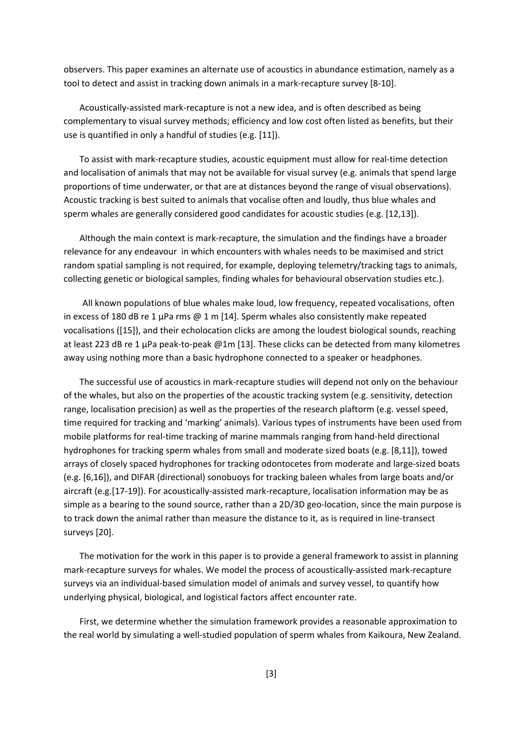observers. This paper examines an alternate use of acoustics in abundance estimation, namely as a tool to detect and assist in tracking down animals in a mark‐recapture survey [8‐10].

Acoustically‐assisted mark‐recapture is not a new idea, and is often described as being complementary to visual survey methods; efficiency and low cost often listed as benefits, but their use is quantified in only a handful of studies (e.g. [11]).

To assist with mark‐recapture studies, acoustic equipment must allow for real‐time detection and localisation of animals that may not be available for visual survey (e.g. animals that spend large proportions of time underwater, or that are at distances beyond the range of visual observations). Acoustic tracking is best suited to animals that vocalise often and loudly, thus blue whales and sperm whales are generally considered good candidates for acoustic studies (e.g. [12,13]).

Although the main context is mark‐recapture, the simulation and the findings have a broader relevance for any endeavour in which encounters with whales needs to be maximised and strict random spatial sampling is not required, for example, deploying telemetry/tracking tags to animals, collecting genetic or biological samples, finding whales for behavioural observation studies etc.).

All known populations of blue whales make loud, low frequency, repeated vocalisations, often in excess of 180 dB re 1  $\mu$ Pa rms @ 1 m [14]. Sperm whales also consistently make repeated vocalisations ([15]), and their echolocation clicks are among the loudest biological sounds, reaching at least 223 dB re 1 µPa peak‐to‐peak @1m [13]. These clicks can be detected from many kilometres away using nothing more than a basic hydrophone connected to a speaker or headphones.

The successful use of acoustics in mark-recapture studies will depend not only on the behaviour of the whales, but also on the properties of the acoustic tracking system (e.g. sensitivity, detection range, localisation precision) as well as the properties of the research plaftorm (e.g. vessel speed, time required for tracking and 'marking' animals). Various types of instruments have been used from mobile platforms for real‐time tracking of marine mammals ranging from hand‐held directional hydrophones for tracking sperm whales from small and moderate sized boats (e.g. [8,11]), towed arrays of closely spaced hydrophones for tracking odontocetes from moderate and large‐sized boats (e.g. [6,16]), and DIFAR (directional) sonobuoys for tracking baleen whales from large boats and/or aircraft (e.g.[17-19]). For acoustically-assisted mark-recapture, localisation information may be as simple as a bearing to the sound source, rather than a 2D/3D geo-location, since the main purpose is to track down the animal rather than measure the distance to it, as is required in line‐transect surveys [20].

The motivation for the work in this paper is to provide a general framework to assist in planning mark‐recapture surveys for whales. We model the process of acoustically‐assisted mark‐recapture surveys via an individual‐based simulation model of animals and survey vessel, to quantify how underlying physical, biological, and logistical factors affect encounter rate.

First, we determine whether the simulation framework provides a reasonable approximation to the real world by simulating a well‐studied population of sperm whales from Kaikoura, New Zealand.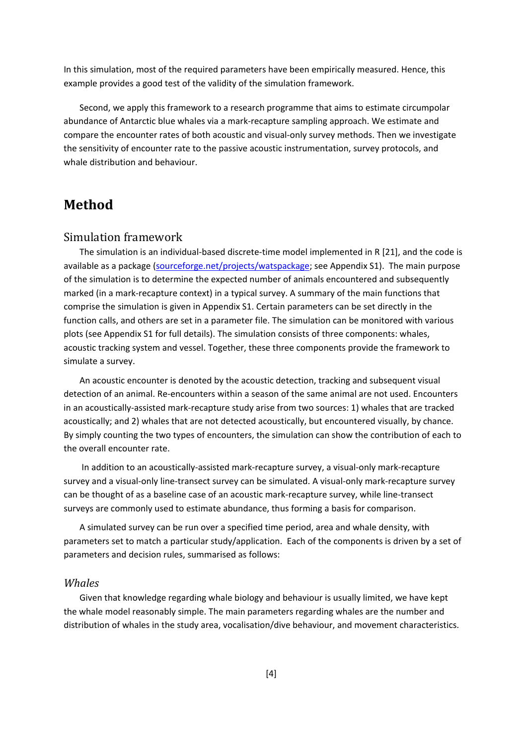In this simulation, most of the required parameters have been empirically measured. Hence, this example provides a good test of the validity of the simulation framework.

Second, we apply this framework to a research programme that aims to estimate circumpolar abundance of Antarctic blue whales via a mark‐recapture sampling approach. We estimate and compare the encounter rates of both acoustic and visual‐only survey methods. Then we investigate the sensitivity of encounter rate to the passive acoustic instrumentation, survey protocols, and whale distribution and behaviour.

## **Method**

#### Simulation framework

The simulation is an individual-based discrete-time model implemented in R [21], and the code is available as a package (sourceforge.net/projects/watspackage; see Appendix S1). The main purpose of the simulation is to determine the expected number of animals encountered and subsequently marked (in a mark‐recapture context) in a typical survey. A summary of the main functions that comprise the simulation is given in Appendix S1. Certain parameters can be set directly in the function calls, and others are set in a parameter file. The simulation can be monitored with various plots (see Appendix S1 for full details). The simulation consists of three components: whales, acoustic tracking system and vessel. Together, these three components provide the framework to simulate a survey.

An acoustic encounter is denoted by the acoustic detection, tracking and subsequent visual detection of an animal. Re‐encounters within a season of the same animal are not used. Encounters in an acoustically‐assisted mark‐recapture study arise from two sources: 1) whales that are tracked acoustically; and 2) whales that are not detected acoustically, but encountered visually, by chance. By simply counting the two types of encounters, the simulation can show the contribution of each to the overall encounter rate.

In addition to an acoustically‐assisted mark‐recapture survey, a visual‐only mark‐recapture survey and a visual‐only line‐transect survey can be simulated. A visual‐only mark‐recapture survey can be thought of as a baseline case of an acoustic mark‐recapture survey, while line‐transect surveys are commonly used to estimate abundance, thus forming a basis for comparison.

A simulated survey can be run over a specified time period, area and whale density, with parameters set to match a particular study/application. Each of the components is driven by a set of parameters and decision rules, summarised as follows:

#### *Whales*

Given that knowledge regarding whale biology and behaviour is usually limited, we have kept the whale model reasonably simple. The main parameters regarding whales are the number and distribution of whales in the study area, vocalisation/dive behaviour, and movement characteristics.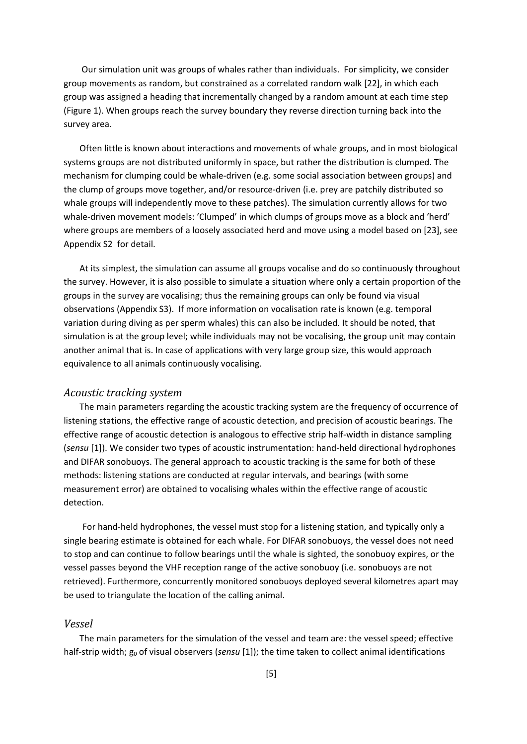Our simulation unit was groups of whales rather than individuals. For simplicity, we consider group movements as random, but constrained as a correlated random walk [22], in which each group was assigned a heading that incrementally changed by a random amount at each time step (Figure 1). When groups reach the survey boundary they reverse direction turning back into the survey area.

Often little is known about interactions and movements of whale groups, and in most biological systems groups are not distributed uniformly in space, but rather the distribution is clumped. The mechanism for clumping could be whale‐driven (e.g. some social association between groups) and the clump of groups move together, and/or resource-driven (i.e. prey are patchily distributed so whale groups will independently move to these patches). The simulation currently allows for two whale-driven movement models: 'Clumped' in which clumps of groups move as a block and 'herd' where groups are members of a loosely associated herd and move using a model based on [23], see Appendix S2 for detail.

At its simplest, the simulation can assume all groups vocalise and do so continuously throughout the survey. However, it is also possible to simulate a situation where only a certain proportion of the groups in the survey are vocalising; thus the remaining groups can only be found via visual observations (Appendix S3). If more information on vocalisation rate is known (e.g. temporal variation during diving as per sperm whales) this can also be included. It should be noted, that simulation is at the group level; while individuals may not be vocalising, the group unit may contain another animal that is. In case of applications with very large group size, this would approach equivalence to all animals continuously vocalising.

#### *Acoustic tracking system*

The main parameters regarding the acoustic tracking system are the frequency of occurrence of listening stations, the effective range of acoustic detection, and precision of acoustic bearings. The effective range of acoustic detection is analogous to effective strip half-width in distance sampling (*sensu* [1]). We consider two types of acoustic instrumentation: hand‐held directional hydrophones and DIFAR sonobuoys. The general approach to acoustic tracking is the same for both of these methods: listening stations are conducted at regular intervals, and bearings (with some measurement error) are obtained to vocalising whales within the effective range of acoustic detection.

For hand-held hydrophones, the vessel must stop for a listening station, and typically only a single bearing estimate is obtained for each whale. For DIFAR sonobuoys, the vessel does not need to stop and can continue to follow bearings until the whale is sighted, the sonobuoy expires, or the vessel passes beyond the VHF reception range of the active sonobuoy (i.e. sonobuoys are not retrieved). Furthermore, concurrently monitored sonobuoys deployed several kilometres apart may be used to triangulate the location of the calling animal.

#### *Vessel*

The main parameters for the simulation of the vessel and team are: the vessel speed; effective half-strip width; g<sub>0</sub> of visual observers (*sensu* [1]); the time taken to collect animal identifications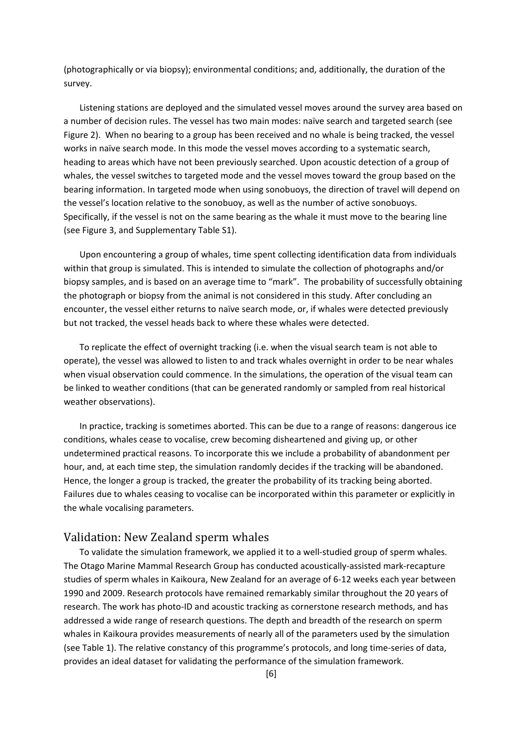(photographically or via biopsy); environmental conditions; and, additionally, the duration of the survey.

Listening stations are deployed and the simulated vessel moves around the survey area based on a number of decision rules. The vessel has two main modes: naïve search and targeted search (see Figure 2). When no bearing to a group has been received and no whale is being tracked, the vessel works in naïve search mode. In this mode the vessel moves according to a systematic search, heading to areas which have not been previously searched. Upon acoustic detection of a group of whales, the vessel switches to targeted mode and the vessel moves toward the group based on the bearing information. In targeted mode when using sonobuoys, the direction of travel will depend on the vessel's location relative to the sonobuoy, as well as the number of active sonobuoys. Specifically, if the vessel is not on the same bearing as the whale it must move to the bearing line (see Figure 3, and Supplementary Table S1).

Upon encountering a group of whales, time spent collecting identification data from individuals within that group is simulated. This is intended to simulate the collection of photographs and/or biopsy samples, and is based on an average time to "mark". The probability of successfully obtaining the photograph or biopsy from the animal is not considered in this study. After concluding an encounter, the vessel either returns to naïve search mode, or, if whales were detected previously but not tracked, the vessel heads back to where these whales were detected.

To replicate the effect of overnight tracking (i.e. when the visual search team is not able to operate), the vessel was allowed to listen to and track whales overnight in order to be near whales when visual observation could commence. In the simulations, the operation of the visual team can be linked to weather conditions (that can be generated randomly or sampled from real historical weather observations).

In practice, tracking is sometimes aborted. This can be due to a range of reasons: dangerous ice conditions, whales cease to vocalise, crew becoming disheartened and giving up, or other undetermined practical reasons. To incorporate this we include a probability of abandonment per hour, and, at each time step, the simulation randomly decides if the tracking will be abandoned. Hence, the longer a group is tracked, the greater the probability of its tracking being aborted. Failures due to whales ceasing to vocalise can be incorporated within this parameter or explicitly in the whale vocalising parameters.

#### Validation: New Zealand sperm whales

To validate the simulation framework, we applied it to a well-studied group of sperm whales. The Otago Marine Mammal Research Group has conducted acoustically‐assisted mark‐recapture studies of sperm whales in Kaikoura, New Zealand for an average of 6‐12 weeks each year between 1990 and 2009. Research protocols have remained remarkably similar throughout the 20 years of research. The work has photo‐ID and acoustic tracking as cornerstone research methods, and has addressed a wide range of research questions. The depth and breadth of the research on sperm whales in Kaikoura provides measurements of nearly all of the parameters used by the simulation (see Table 1). The relative constancy of this programme's protocols, and long time‐series of data, provides an ideal dataset for validating the performance of the simulation framework.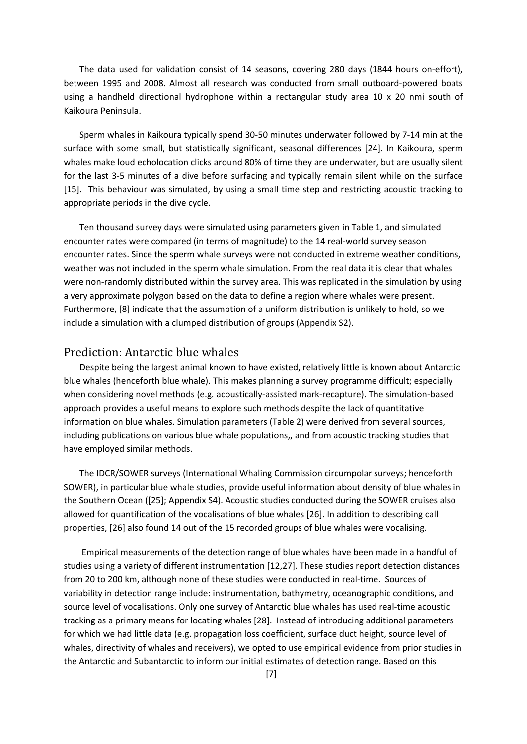The data used for validation consist of 14 seasons, covering 280 days (1844 hours on‐effort), between 1995 and 2008. Almost all research was conducted from small outboard‐powered boats using a handheld directional hydrophone within a rectangular study area 10 x 20 nmi south of Kaikoura Peninsula.

Sperm whales in Kaikoura typically spend 30‐50 minutes underwater followed by 7‐14 min at the surface with some small, but statistically significant, seasonal differences [24]. In Kaikoura, sperm whales make loud echolocation clicks around 80% of time they are underwater, but are usually silent for the last 3‐5 minutes of a dive before surfacing and typically remain silent while on the surface [15]. This behaviour was simulated, by using a small time step and restricting acoustic tracking to appropriate periods in the dive cycle.

Ten thousand survey days were simulated using parameters given in Table 1, and simulated encounter rates were compared (in terms of magnitude) to the 14 real‐world survey season encounter rates. Since the sperm whale surveys were not conducted in extreme weather conditions, weather was not included in the sperm whale simulation. From the real data it is clear that whales were non-randomly distributed within the survey area. This was replicated in the simulation by using a very approximate polygon based on the data to define a region where whales were present. Furthermore, [8] indicate that the assumption of a uniform distribution is unlikely to hold, so we include a simulation with a clumped distribution of groups (Appendix S2).

#### Prediction: Antarctic blue whales

Despite being the largest animal known to have existed, relatively little is known about Antarctic blue whales (henceforth blue whale). This makes planning a survey programme difficult; especially when considering novel methods (e.g. acoustically-assisted mark-recapture). The simulation-based approach provides a useful means to explore such methods despite the lack of quantitative information on blue whales. Simulation parameters (Table 2) were derived from several sources, including publications on various blue whale populations,, and from acoustic tracking studies that have employed similar methods.

The IDCR/SOWER surveys (International Whaling Commission circumpolar surveys; henceforth SOWER), in particular blue whale studies, provide useful information about density of blue whales in the Southern Ocean ([25]; Appendix S4). Acoustic studies conducted during the SOWER cruises also allowed for quantification of the vocalisations of blue whales [26]. In addition to describing call properties, [26] also found 14 out of the 15 recorded groups of blue whales were vocalising.

Empirical measurements of the detection range of blue whales have been made in a handful of studies using a variety of different instrumentation [12,27]. These studies report detection distances from 20 to 200 km, although none of these studies were conducted in real-time. Sources of variability in detection range include: instrumentation, bathymetry, oceanographic conditions, and source level of vocalisations. Only one survey of Antarctic blue whales has used real-time acoustic tracking as a primary means for locating whales [28]. Instead of introducing additional parameters for which we had little data (e.g. propagation loss coefficient, surface duct height, source level of whales, directivity of whales and receivers), we opted to use empirical evidence from prior studies in the Antarctic and Subantarctic to inform our initial estimates of detection range. Based on this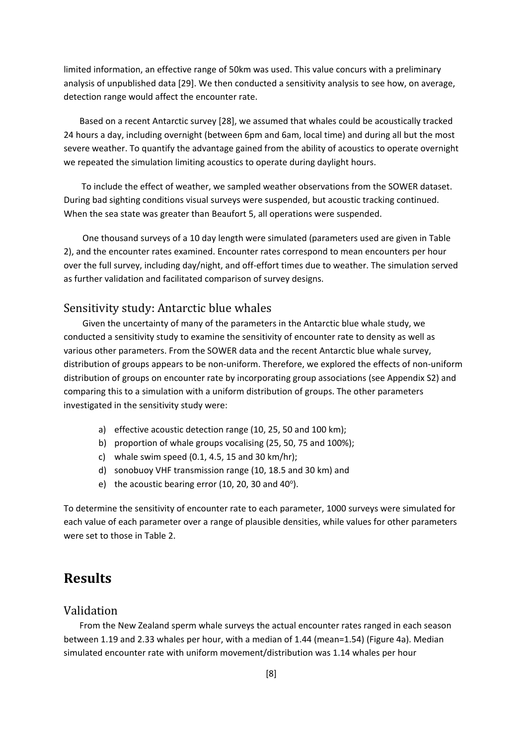limited information, an effective range of 50km was used. This value concurs with a preliminary analysis of unpublished data [29]. We then conducted a sensitivity analysis to see how, on average, detection range would affect the encounter rate.

Based on a recent Antarctic survey [28], we assumed that whales could be acoustically tracked 24 hours a day, including overnight (between 6pm and 6am, local time) and during all but the most severe weather. To quantify the advantage gained from the ability of acoustics to operate overnight we repeated the simulation limiting acoustics to operate during daylight hours.

To include the effect of weather, we sampled weather observations from the SOWER dataset. During bad sighting conditions visual surveys were suspended, but acoustic tracking continued. When the sea state was greater than Beaufort 5, all operations were suspended.

One thousand surveys of a 10 day length were simulated (parameters used are given in Table 2), and the encounter rates examined. Encounter rates correspond to mean encounters per hour over the full survey, including day/night, and off‐effort times due to weather. The simulation served as further validation and facilitated comparison of survey designs.

## Sensitivity study: Antarctic blue whales

Given the uncertainty of many of the parameters in the Antarctic blue whale study, we conducted a sensitivity study to examine the sensitivity of encounter rate to density as well as various other parameters. From the SOWER data and the recent Antarctic blue whale survey, distribution of groups appears to be non‐uniform. Therefore, we explored the effects of non‐uniform distribution of groups on encounter rate by incorporating group associations (see Appendix S2) and comparing this to a simulation with a uniform distribution of groups. The other parameters investigated in the sensitivity study were:

- a) effective acoustic detection range (10, 25, 50 and 100 km);
- b) proportion of whale groups vocalising (25, 50, 75 and 100%);
- c) whale swim speed  $(0.1, 4.5, 15, 10, 30, km/hr);$
- d) sonobuoy VHF transmission range (10, 18.5 and 30 km) and
- e) the acoustic bearing error (10, 20, 30 and  $40^{\circ}$ ).

To determine the sensitivity of encounter rate to each parameter, 1000 surveys were simulated for each value of each parameter over a range of plausible densities, while values for other parameters were set to those in Table 2.

## **Results**

#### Validation

From the New Zealand sperm whale surveys the actual encounter rates ranged in each season between 1.19 and 2.33 whales per hour, with a median of 1.44 (mean=1.54) (Figure 4a). Median simulated encounter rate with uniform movement/distribution was 1.14 whales per hour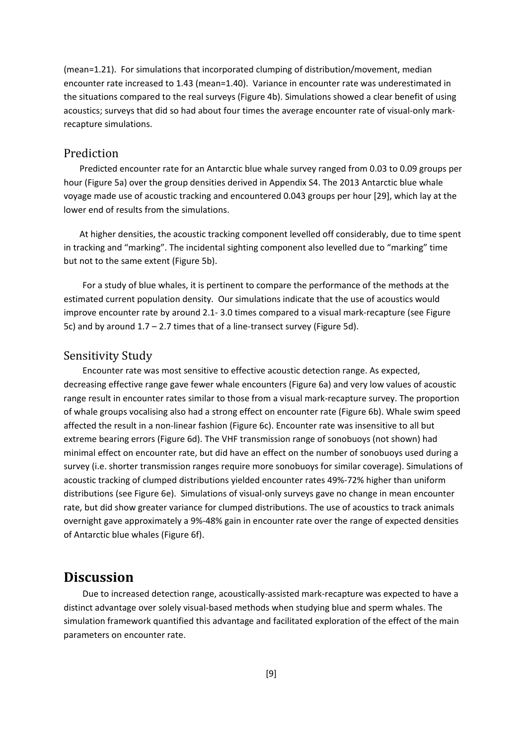(mean=1.21). For simulations that incorporated clumping of distribution/movement, median encounter rate increased to 1.43 (mean=1.40). Variance in encounter rate was underestimated in the situations compared to the real surveys (Figure 4b). Simulations showed a clear benefit of using acoustics; surveys that did so had about four times the average encounter rate of visual-only markrecapture simulations.

#### Prediction

Predicted encounter rate for an Antarctic blue whale survey ranged from 0.03 to 0.09 groups per hour (Figure 5a) over the group densities derived in Appendix S4. The 2013 Antarctic blue whale voyage made use of acoustic tracking and encountered 0.043 groups per hour [29], which lay at the lower end of results from the simulations.

At higher densities, the acoustic tracking component levelled off considerably, due to time spent in tracking and "marking". The incidental sighting component also levelled due to "marking" time but not to the same extent (Figure 5b).

For a study of blue whales, it is pertinent to compare the performance of the methods at the estimated current population density. Our simulations indicate that the use of acoustics would improve encounter rate by around 2.1- 3.0 times compared to a visual mark-recapture (see Figure 5c) and by around  $1.7 - 2.7$  times that of a line-transect survey (Figure 5d).

#### Sensitivity Study

Encounter rate was most sensitive to effective acoustic detection range. As expected, decreasing effective range gave fewer whale encounters (Figure 6a) and very low values of acoustic range result in encounter rates similar to those from a visual mark-recapture survey. The proportion of whale groups vocalising also had a strong effect on encounter rate (Figure 6b). Whale swim speed affected the result in a non‐linear fashion (Figure 6c). Encounter rate was insensitive to all but extreme bearing errors (Figure 6d). The VHF transmission range of sonobuoys (not shown) had minimal effect on encounter rate, but did have an effect on the number of sonobuoys used during a survey (i.e. shorter transmission ranges require more sonobuoys for similar coverage). Simulations of acoustic tracking of clumped distributions yielded encounter rates 49%‐72% higher than uniform distributions (see Figure 6e). Simulations of visual‐only surveys gave no change in mean encounter rate, but did show greater variance for clumped distributions. The use of acoustics to track animals overnight gave approximately a 9%‐48% gain in encounter rate over the range of expected densities of Antarctic blue whales (Figure 6f).

## **Discussion**

Due to increased detection range, acoustically‐assisted mark‐recapture was expected to have a distinct advantage over solely visual‐based methods when studying blue and sperm whales. The simulation framework quantified this advantage and facilitated exploration of the effect of the main parameters on encounter rate.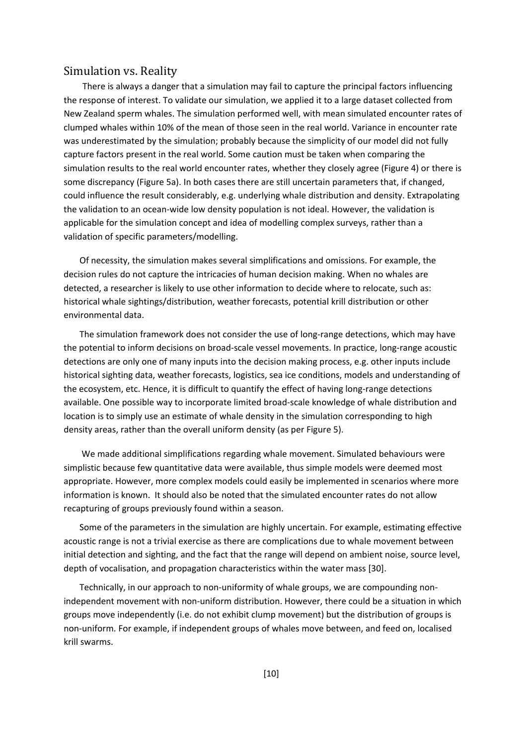#### Simulation vs. Reality

There is always a danger that a simulation may fail to capture the principal factors influencing the response of interest. To validate our simulation, we applied it to a large dataset collected from New Zealand sperm whales. The simulation performed well, with mean simulated encounter rates of clumped whales within 10% of the mean of those seen in the real world. Variance in encounter rate was underestimated by the simulation; probably because the simplicity of our model did not fully capture factors present in the real world. Some caution must be taken when comparing the simulation results to the real world encounter rates, whether they closely agree (Figure 4) or there is some discrepancy (Figure 5a). In both cases there are still uncertain parameters that, if changed, could influence the result considerably, e.g. underlying whale distribution and density. Extrapolating the validation to an ocean‐wide low density population is not ideal. However, the validation is applicable for the simulation concept and idea of modelling complex surveys, rather than a validation of specific parameters/modelling.

Of necessity, the simulation makes several simplifications and omissions. For example, the decision rules do not capture the intricacies of human decision making. When no whales are detected, a researcher is likely to use other information to decide where to relocate, such as: historical whale sightings/distribution, weather forecasts, potential krill distribution or other environmental data.

The simulation framework does not consider the use of long-range detections, which may have the potential to inform decisions on broad-scale vessel movements. In practice, long-range acoustic detections are only one of many inputs into the decision making process, e.g. other inputs include historical sighting data, weather forecasts, logistics, sea ice conditions, models and understanding of the ecosystem, etc. Hence, it is difficult to quantify the effect of having long-range detections available. One possible way to incorporate limited broad‐scale knowledge of whale distribution and location is to simply use an estimate of whale density in the simulation corresponding to high density areas, rather than the overall uniform density (as per Figure 5).

We made additional simplifications regarding whale movement. Simulated behaviours were simplistic because few quantitative data were available, thus simple models were deemed most appropriate. However, more complex models could easily be implemented in scenarios where more information is known. It should also be noted that the simulated encounter rates do not allow recapturing of groups previously found within a season.

Some of the parameters in the simulation are highly uncertain. For example, estimating effective acoustic range is not a trivial exercise as there are complications due to whale movement between initial detection and sighting, and the fact that the range will depend on ambient noise, source level, depth of vocalisation, and propagation characteristics within the water mass [30].

Technically, in our approach to non‐uniformity of whale groups, we are compounding non‐ independent movement with non-uniform distribution. However, there could be a situation in which groups move independently (i.e. do not exhibit clump movement) but the distribution of groups is non‐uniform. For example, if independent groups of whales move between, and feed on, localised krill swarms.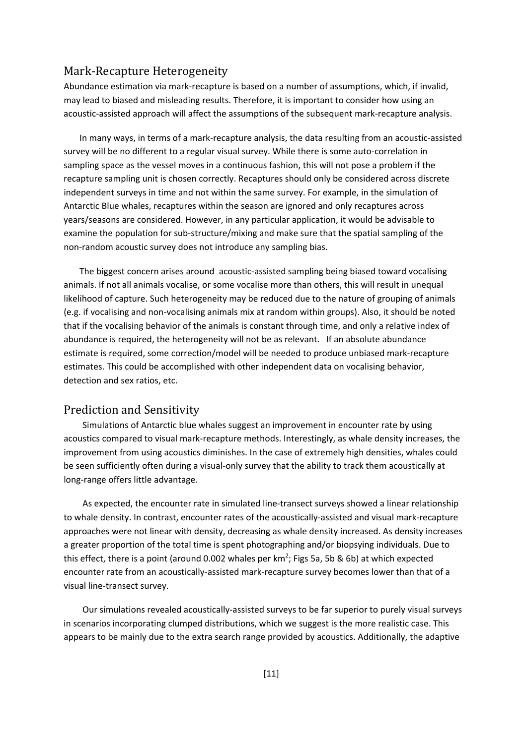### Mark-Recapture Heterogeneity

Abundance estimation via mark‐recapture is based on a number of assumptions, which, if invalid, may lead to biased and misleading results. Therefore, it is important to consider how using an acoustic‐assisted approach will affect the assumptions of the subsequent mark‐recapture analysis.

In many ways, in terms of a mark‐recapture analysis, the data resulting from an acoustic‐assisted survey will be no different to a regular visual survey. While there is some auto‐correlation in sampling space as the vessel moves in a continuous fashion, this will not pose a problem if the recapture sampling unit is chosen correctly. Recaptures should only be considered across discrete independent surveys in time and not within the same survey. For example, in the simulation of Antarctic Blue whales, recaptures within the season are ignored and only recaptures across years/seasons are considered. However, in any particular application, it would be advisable to examine the population for sub‐structure/mixing and make sure that the spatial sampling of the non‐random acoustic survey does not introduce any sampling bias.

The biggest concern arises around acoustic‐assisted sampling being biased toward vocalising animals. If not all animals vocalise, or some vocalise more than others, this will result in unequal likelihood of capture. Such heterogeneity may be reduced due to the nature of grouping of animals (e.g. if vocalising and non‐vocalising animals mix at random within groups). Also, it should be noted that if the vocalising behavior of the animals is constant through time, and only a relative index of abundance is required, the heterogeneity will not be as relevant. If an absolute abundance estimate is required, some correction/model will be needed to produce unbiased mark‐recapture estimates. This could be accomplished with other independent data on vocalising behavior, detection and sex ratios, etc.

#### **Prediction and Sensitivity**

Simulations of Antarctic blue whales suggest an improvement in encounter rate by using acoustics compared to visual mark‐recapture methods. Interestingly, as whale density increases, the improvement from using acoustics diminishes. In the case of extremely high densities, whales could be seen sufficiently often during a visual‐only survey that the ability to track them acoustically at long‐range offers little advantage.

As expected, the encounter rate in simulated line-transect surveys showed a linear relationship to whale density. In contrast, encounter rates of the acoustically‐assisted and visual mark‐recapture approaches were not linear with density, decreasing as whale density increased. As density increases a greater proportion of the total time is spent photographing and/or biopsying individuals. Due to this effect, there is a point (around 0.002 whales per km<sup>2</sup>; Figs 5a, 5b & 6b) at which expected encounter rate from an acoustically‐assisted mark‐recapture survey becomes lower than that of a visual line‐transect survey.

Our simulations revealed acoustically‐assisted surveys to be far superior to purely visual surveys in scenarios incorporating clumped distributions, which we suggest is the more realistic case. This appears to be mainly due to the extra search range provided by acoustics. Additionally, the adaptive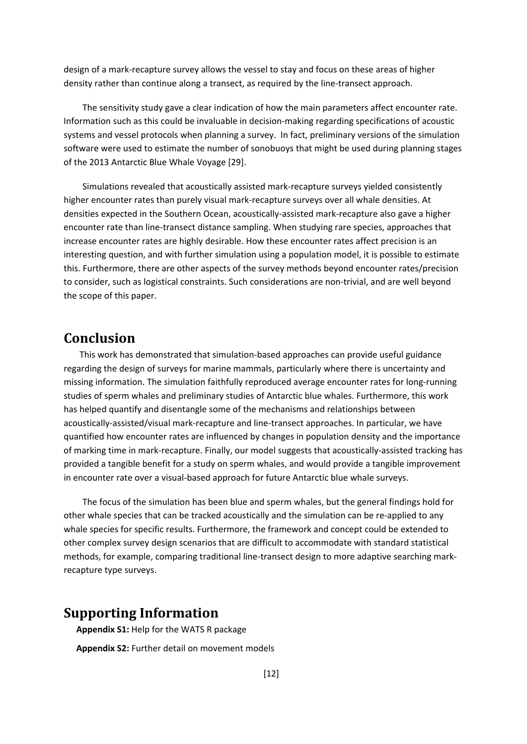design of a mark‐recapture survey allows the vessel to stay and focus on these areas of higher density rather than continue along a transect, as required by the line‐transect approach.

The sensitivity study gave a clear indication of how the main parameters affect encounter rate. Information such as this could be invaluable in decision‐making regarding specifications of acoustic systems and vessel protocols when planning a survey. In fact, preliminary versions of the simulation software were used to estimate the number of sonobuoys that might be used during planning stages of the 2013 Antarctic Blue Whale Voyage [29].

Simulations revealed that acoustically assisted mark‐recapture surveys yielded consistently higher encounter rates than purely visual mark-recapture surveys over all whale densities. At densities expected in the Southern Ocean, acoustically‐assisted mark‐recapture also gave a higher encounter rate than line‐transect distance sampling. When studying rare species, approaches that increase encounter rates are highly desirable. How these encounter rates affect precision is an interesting question, and with further simulation using a population model, it is possible to estimate this. Furthermore, there are other aspects of the survey methods beyond encounter rates/precision to consider, such as logistical constraints. Such considerations are non-trivial, and are well beyond the scope of this paper.

## **Conclusion**

This work has demonstrated that simulation‐based approaches can provide useful guidance regarding the design of surveys for marine mammals, particularly where there is uncertainty and missing information. The simulation faithfully reproduced average encounter rates for long-running studies of sperm whales and preliminary studies of Antarctic blue whales. Furthermore, this work has helped quantify and disentangle some of the mechanisms and relationships between acoustically-assisted/visual mark-recapture and line-transect approaches. In particular, we have quantified how encounter rates are influenced by changes in population density and the importance of marking time in mark‐recapture. Finally, our model suggests that acoustically‐assisted tracking has provided a tangible benefit for a study on sperm whales, and would provide a tangible improvement in encounter rate over a visual‐based approach for future Antarctic blue whale surveys.

The focus of the simulation has been blue and sperm whales, but the general findings hold for other whale species that can be tracked acoustically and the simulation can be re‐applied to any whale species for specific results. Furthermore, the framework and concept could be extended to other complex survey design scenarios that are difficult to accommodate with standard statistical methods, for example, comparing traditional line-transect design to more adaptive searching markrecapture type surveys.

## **Supporting Information**

**Appendix S1:** Help for the WATS R package

**Appendix S2:** Further detail on movement models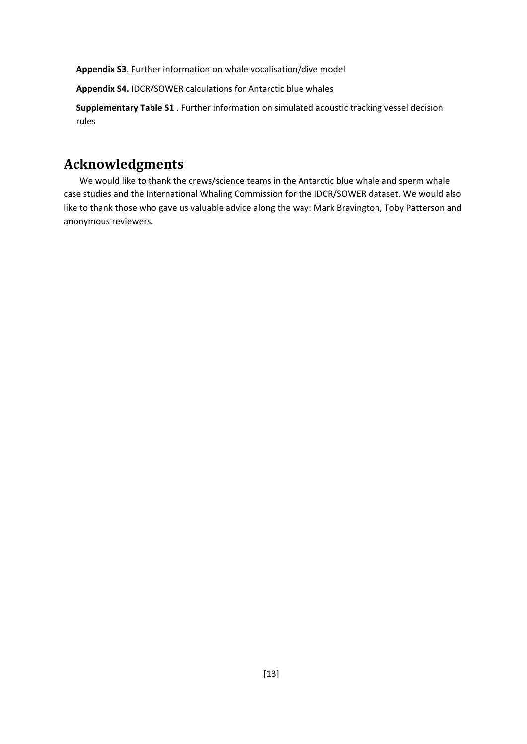**Appendix S3**. Further information on whale vocalisation/dive model

**Appendix S4.** IDCR/SOWER calculations for Antarctic blue whales

**Supplementary Table S1** . Further information on simulated acoustic tracking vessel decision rules

# **Acknowledgments**

We would like to thank the crews/science teams in the Antarctic blue whale and sperm whale case studies and the International Whaling Commission for the IDCR/SOWER dataset. We would also like to thank those who gave us valuable advice along the way: Mark Bravington, Toby Patterson and anonymous reviewers.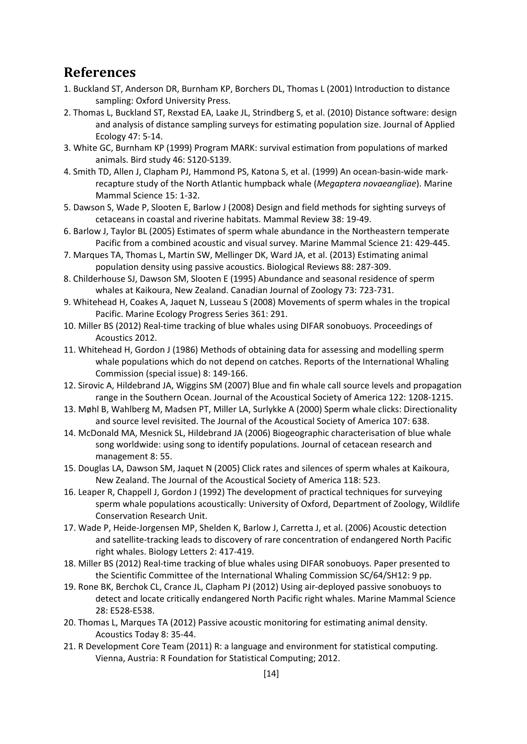## **References**

- 1. Buckland ST, Anderson DR, Burnham KP, Borchers DL, Thomas L (2001) Introduction to distance sampling: Oxford University Press.
- 2. Thomas L, Buckland ST, Rexstad EA, Laake JL, Strindberg S, et al. (2010) Distance software: design and analysis of distance sampling surveys for estimating population size. Journal of Applied Ecology 47: 5‐14.
- 3. White GC, Burnham KP (1999) Program MARK: survival estimation from populations of marked animals. Bird study 46: S120‐S139.
- 4. Smith TD, Allen J, Clapham PJ, Hammond PS, Katona S, et al. (1999) An ocean‐basin‐wide mark‐ recapture study of the North Atlantic humpback whale (*Megaptera novaeangliae*). Marine Mammal Science 15: 1‐32.
- 5. Dawson S, Wade P, Slooten E, Barlow J (2008) Design and field methods for sighting surveys of cetaceans in coastal and riverine habitats. Mammal Review 38: 19‐49.
- 6. Barlow J, Taylor BL (2005) Estimates of sperm whale abundance in the Northeastern temperate Pacific from a combined acoustic and visual survey. Marine Mammal Science 21: 429‐445.
- 7. Marques TA, Thomas L, Martin SW, Mellinger DK, Ward JA, et al. (2013) Estimating animal population density using passive acoustics. Biological Reviews 88: 287‐309.
- 8. Childerhouse SJ, Dawson SM, Slooten E (1995) Abundance and seasonal residence of sperm whales at Kaikoura, New Zealand. Canadian Journal of Zoology 73: 723‐731.
- 9. Whitehead H, Coakes A, Jaquet N, Lusseau S (2008) Movements of sperm whales in the tropical Pacific. Marine Ecology Progress Series 361: 291.
- 10. Miller BS (2012) Real-time tracking of blue whales using DIFAR sonobuoys. Proceedings of Acoustics 2012.
- 11. Whitehead H, Gordon J (1986) Methods of obtaining data for assessing and modelling sperm whale populations which do not depend on catches. Reports of the International Whaling Commission (special issue) 8: 149‐166.
- 12. Sirovic A, Hildebrand JA, Wiggins SM (2007) Blue and fin whale call source levels and propagation range in the Southern Ocean. Journal of the Acoustical Society of America 122: 1208‐1215.
- 13. Møhl B, Wahlberg M, Madsen PT, Miller LA, Surlykke A (2000) Sperm whale clicks: Directionality and source level revisited. The Journal of the Acoustical Society of America 107: 638.
- 14. McDonald MA, Mesnick SL, Hildebrand JA (2006) Biogeographic characterisation of blue whale song worldwide: using song to identify populations. Journal of cetacean research and management 8: 55.
- 15. Douglas LA, Dawson SM, Jaquet N (2005) Click rates and silences of sperm whales at Kaikoura, New Zealand. The Journal of the Acoustical Society of America 118: 523.
- 16. Leaper R, Chappell J, Gordon J (1992) The development of practical techniques for surveying sperm whale populations acoustically: University of Oxford, Department of Zoology, Wildlife Conservation Research Unit.
- 17. Wade P, Heide‐Jorgensen MP, Shelden K, Barlow J, Carretta J, et al. (2006) Acoustic detection and satellite‐tracking leads to discovery of rare concentration of endangered North Pacific right whales. Biology Letters 2: 417‐419.
- 18. Miller BS (2012) Real‐time tracking of blue whales using DIFAR sonobuoys. Paper presented to the Scientific Committee of the International Whaling Commission SC/64/SH12: 9 pp.
- 19. Rone BK, Berchok CL, Crance JL, Clapham PJ (2012) Using air‐deployed passive sonobuoys to detect and locate critically endangered North Pacific right whales. Marine Mammal Science 28: E528‐E538.
- 20. Thomas L, Marques TA (2012) Passive acoustic monitoring for estimating animal density. Acoustics Today 8: 35‐44.
- 21. R Development Core Team (2011) R: a language and environment for statistical computing. Vienna, Austria: R Foundation for Statistical Computing; 2012.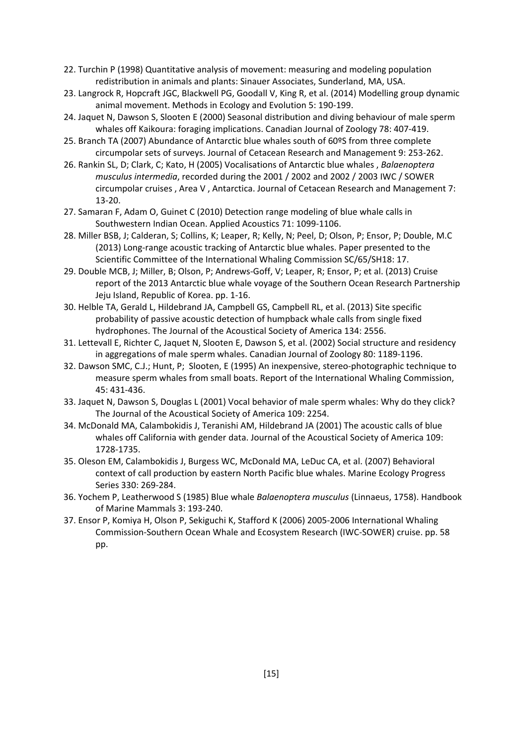- 22. Turchin P (1998) Quantitative analysis of movement: measuring and modeling population redistribution in animals and plants: Sinauer Associates, Sunderland, MA, USA.
- 23. Langrock R, Hopcraft JGC, Blackwell PG, Goodall V, King R, et al. (2014) Modelling group dynamic animal movement. Methods in Ecology and Evolution 5: 190‐199.
- 24. Jaquet N, Dawson S, Slooten E (2000) Seasonal distribution and diving behaviour of male sperm whales off Kaikoura: foraging implications. Canadian Journal of Zoology 78: 407‐419.
- 25. Branch TA (2007) Abundance of Antarctic blue whales south of 60ºS from three complete circumpolar sets of surveys. Journal of Cetacean Research and Management 9: 253‐262.
- 26. Rankin SL, D; Clark, C; Kato, H (2005) Vocalisations of Antarctic blue whales , *Balaenoptera musculus intermedia*, recorded during the 2001 / 2002 and 2002 / 2003 IWC / SOWER circumpolar cruises , Area V , Antarctica. Journal of Cetacean Research and Management 7: 13‐20.
- 27. Samaran F, Adam O, Guinet C (2010) Detection range modeling of blue whale calls in Southwestern Indian Ocean. Applied Acoustics 71: 1099‐1106.
- 28. Miller BSB, J; Calderan, S; Collins, K; Leaper, R; Kelly, N; Peel, D; Olson, P; Ensor, P; Double, M.C (2013) Long‐range acoustic tracking of Antarctic blue whales. Paper presented to the Scientific Committee of the International Whaling Commission SC/65/SH18: 17.
- 29. Double MCB, J; Miller, B; Olson, P; Andrews‐Goff, V; Leaper, R; Ensor, P; et al. (2013) Cruise report of the 2013 Antarctic blue whale voyage of the Southern Ocean Research Partnership Jeju Island, Republic of Korea. pp. 1‐16.
- 30. Helble TA, Gerald L, Hildebrand JA, Campbell GS, Campbell RL, et al. (2013) Site specific probability of passive acoustic detection of humpback whale calls from single fixed hydrophones. The Journal of the Acoustical Society of America 134: 2556.
- 31. Lettevall E, Richter C, Jaquet N, Slooten E, Dawson S, et al. (2002) Social structure and residency in aggregations of male sperm whales. Canadian Journal of Zoology 80: 1189‐1196.
- 32. Dawson SMC, C.J.; Hunt, P; Slooten, E (1995) An inexpensive, stereo-photographic technique to measure sperm whales from small boats. Report of the International Whaling Commission, 45: 431‐436.
- 33. Jaquet N, Dawson S, Douglas L (2001) Vocal behavior of male sperm whales: Why do they click? The Journal of the Acoustical Society of America 109: 2254.
- 34. McDonald MA, Calambokidis J, Teranishi AM, Hildebrand JA (2001) The acoustic calls of blue whales off California with gender data. Journal of the Acoustical Society of America 109: 1728‐1735.
- 35. Oleson EM, Calambokidis J, Burgess WC, McDonald MA, LeDuc CA, et al. (2007) Behavioral context of call production by eastern North Pacific blue whales. Marine Ecology Progress Series 330: 269‐284.
- 36. Yochem P, Leatherwood S (1985) Blue whale *Balaenoptera musculus* (Linnaeus, 1758). Handbook of Marine Mammals 3: 193‐240.
- 37. Ensor P, Komiya H, Olson P, Sekiguchi K, Stafford K (2006) 2005‐2006 International Whaling Commission‐Southern Ocean Whale and Ecosystem Research (IWC‐SOWER) cruise. pp. 58 pp.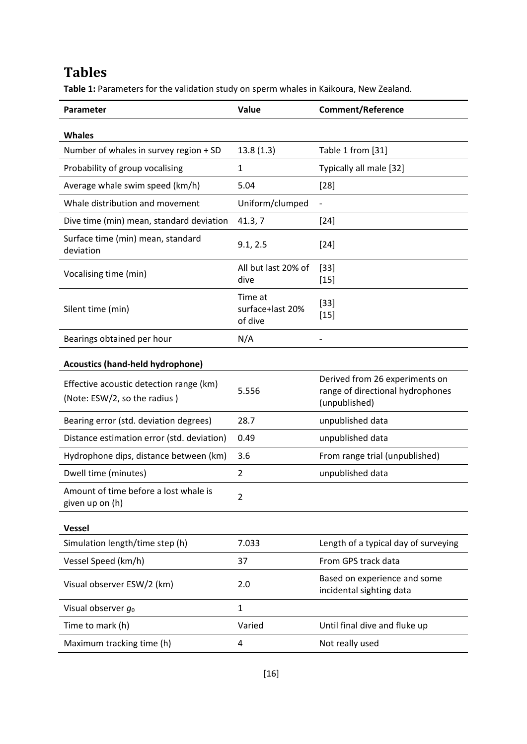# **Tables**

**Table 1:** Parameters for the validation study on sperm whales in Kaikoura, New Zealand.

| <b>Parameter</b>                                                        | Value                                  | <b>Comment/Reference</b>                                                            |
|-------------------------------------------------------------------------|----------------------------------------|-------------------------------------------------------------------------------------|
| <b>Whales</b>                                                           |                                        |                                                                                     |
| Number of whales in survey region + SD                                  | 13.8(1.3)                              | Table 1 from [31]                                                                   |
| Probability of group vocalising                                         | 1                                      | Typically all male [32]                                                             |
| Average whale swim speed (km/h)                                         | 5.04                                   | $[28]$                                                                              |
| Whale distribution and movement                                         | Uniform/clumped                        |                                                                                     |
| Dive time (min) mean, standard deviation                                | 41.3,7                                 | $[24]$                                                                              |
| Surface time (min) mean, standard<br>deviation                          | 9.1, 2.5                               | $[24]$                                                                              |
| Vocalising time (min)                                                   | All but last 20% of<br>dive            | $[33]$<br>$[15]$                                                                    |
| Silent time (min)                                                       | Time at<br>surface+last 20%<br>of dive | $[33]$<br>$[15]$                                                                    |
| Bearings obtained per hour                                              | N/A                                    |                                                                                     |
| <b>Acoustics (hand-held hydrophone)</b>                                 |                                        |                                                                                     |
| Effective acoustic detection range (km)<br>(Note: ESW/2, so the radius) | 5.556                                  | Derived from 26 experiments on<br>range of directional hydrophones<br>(unpublished) |
| Bearing error (std. deviation degrees)                                  | 28.7                                   | unpublished data                                                                    |
| Distance estimation error (std. deviation)                              | 0.49                                   | unpublished data                                                                    |
| Hydrophone dips, distance between (km)                                  | 3.6                                    | From range trial (unpublished)                                                      |
| Dwell time (minutes)                                                    | $\overline{2}$                         | unpublished data                                                                    |
| Amount of time before a lost whale is<br>given up on (h)                | 2                                      |                                                                                     |
| <b>Vessel</b>                                                           |                                        |                                                                                     |
| Simulation length/time step (h)                                         | 7.033                                  | Length of a typical day of surveying                                                |
| Vessel Speed (km/h)                                                     | 37                                     | From GPS track data                                                                 |
| Visual observer ESW/2 (km)                                              | 2.0                                    | Based on experience and some<br>incidental sighting data                            |
| Visual observer $g_0$                                                   | 1                                      |                                                                                     |
| Time to mark (h)                                                        | Varied                                 | Until final dive and fluke up                                                       |
| Maximum tracking time (h)                                               | 4                                      | Not really used                                                                     |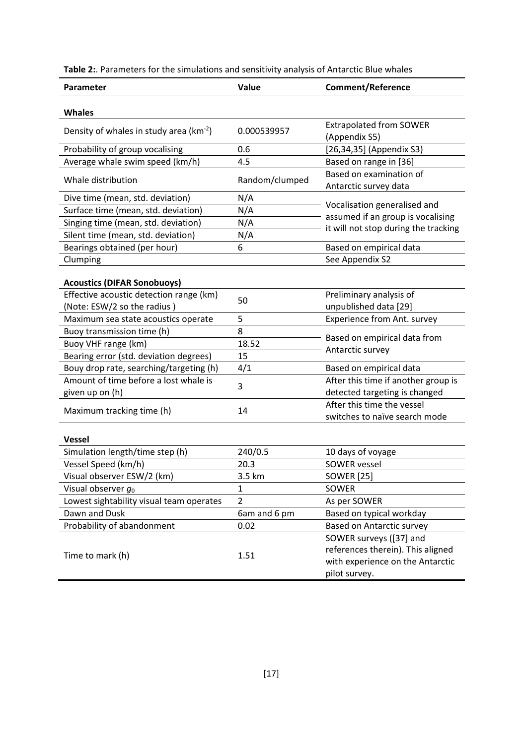**Table 2:**. Parameters for the simulations and sensitivity analysis of Antarctic Blue whales

| Parameter                                     | Value          | <b>Comment/Reference</b>                                                                                          |
|-----------------------------------------------|----------------|-------------------------------------------------------------------------------------------------------------------|
| <b>Whales</b>                                 |                |                                                                                                                   |
| Density of whales in study area ( $km^{-2}$ ) | 0.000539957    | <b>Extrapolated from SOWER</b><br>(Appendix S5)                                                                   |
| Probability of group vocalising               | 0.6            | [26,34,35] (Appendix S3)                                                                                          |
| Average whale swim speed (km/h)               | 4.5            | Based on range in [36]                                                                                            |
| Whale distribution                            | Random/clumped | Based on examination of<br>Antarctic survey data                                                                  |
| Dive time (mean, std. deviation)              | N/A            |                                                                                                                   |
| Surface time (mean, std. deviation)           | N/A            | Vocalisation generalised and<br>assumed if an group is vocalising<br>it will not stop during the tracking         |
| Singing time (mean, std. deviation)           | N/A            |                                                                                                                   |
| Silent time (mean, std. deviation)            | N/A            |                                                                                                                   |
| Bearings obtained (per hour)                  | 6              | Based on empirical data                                                                                           |
| Clumping                                      |                | See Appendix S2                                                                                                   |
| <b>Acoustics (DIFAR Sonobuoys)</b>            |                |                                                                                                                   |
| Effective acoustic detection range (km)       | 50             | Preliminary analysis of                                                                                           |
| (Note: ESW/2 so the radius)                   |                | unpublished data [29]                                                                                             |
| Maximum sea state acoustics operate           | 5              | Experience from Ant. survey                                                                                       |
| Buoy transmission time (h)                    | 8              | Based on empirical data from<br>Antarctic survey                                                                  |
| Buoy VHF range (km)                           | 18.52          |                                                                                                                   |
| Bearing error (std. deviation degrees)        | 15             |                                                                                                                   |
| Bouy drop rate, searching/targeting (h)       | 4/1            | Based on empirical data                                                                                           |
| Amount of time before a lost whale is         | 3              | After this time if another group is                                                                               |
| given up on (h)                               |                | detected targeting is changed                                                                                     |
|                                               |                | After this time the vessel                                                                                        |
| Maximum tracking time (h)                     | 14             | switches to naïve search mode                                                                                     |
| <b>Vessel</b>                                 |                |                                                                                                                   |
| Simulation length/time step (h)               | 240/0.5        | 10 days of voyage                                                                                                 |
| Vessel Speed (km/h)                           | 20.3           | <b>SOWER vessel</b>                                                                                               |
| Visual observer ESW/2 (km)                    | 3.5 km         | <b>SOWER [25]</b>                                                                                                 |
| Visual observer go                            | 1              | SOWER                                                                                                             |
| Lowest sightability visual team operates      | $\overline{2}$ | As per SOWER                                                                                                      |
| Dawn and Dusk                                 | 6am and 6 pm   | Based on typical workday                                                                                          |
| Probability of abandonment                    | 0.02           | Based on Antarctic survey                                                                                         |
| Time to mark (h)                              | 1.51           | SOWER surveys ([37] and<br>references therein). This aligned<br>with experience on the Antarctic<br>pilot survey. |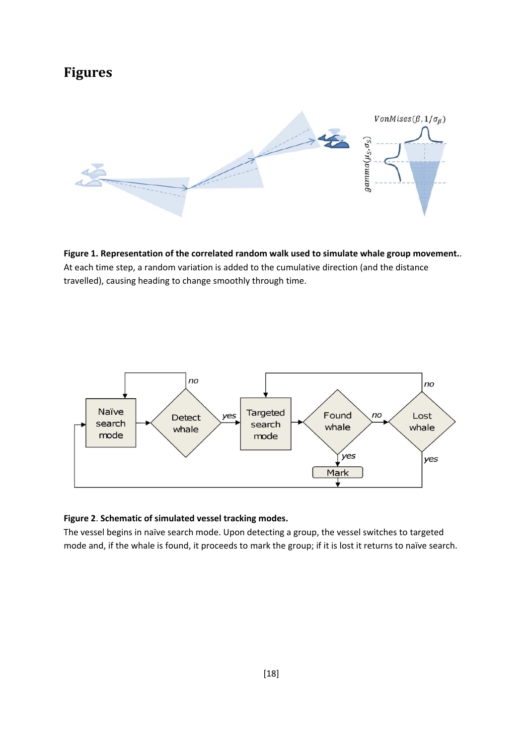# **Figures**



**Figure 1. Representation of the correlated random walk used to simulate whale group movement.**. At each time step, a random variation is added to the cumulative direction (and the distance travelled), causing heading to change smoothly through time.



#### **Figure 2**. **Schematic of simulated vessel tracking modes.**

The vessel begins in naïve search mode. Upon detecting a group, the vessel switches to targeted mode and, if the whale is found, it proceeds to mark the group; if it is lost it returns to naïve search.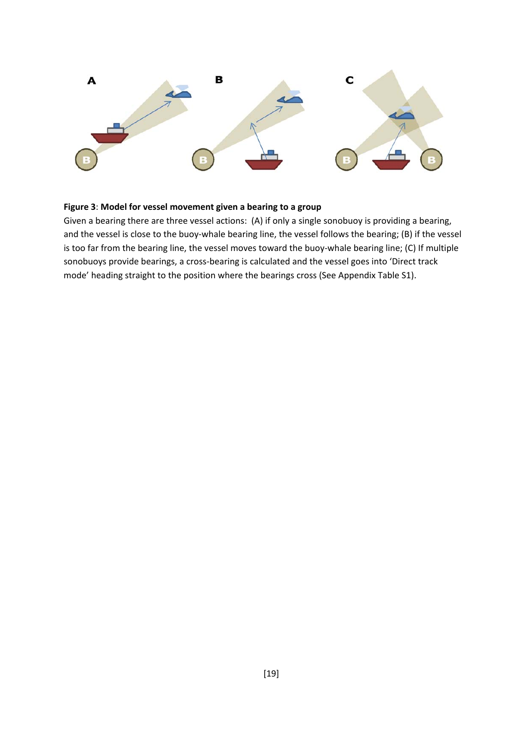

#### **Figure 3**: **Model for vessel movement given a bearing to a group**

Given a bearing there are three vessel actions: (A) if only a single sonobuoy is providing a bearing, and the vessel is close to the buoy-whale bearing line, the vessel follows the bearing; (B) if the vessel is too far from the bearing line, the vessel moves toward the buoy-whale bearing line; (C) If multiple sonobuoys provide bearings, a cross‐bearing is calculated and the vessel goes into 'Direct track mode' heading straight to the position where the bearings cross (See Appendix Table S1).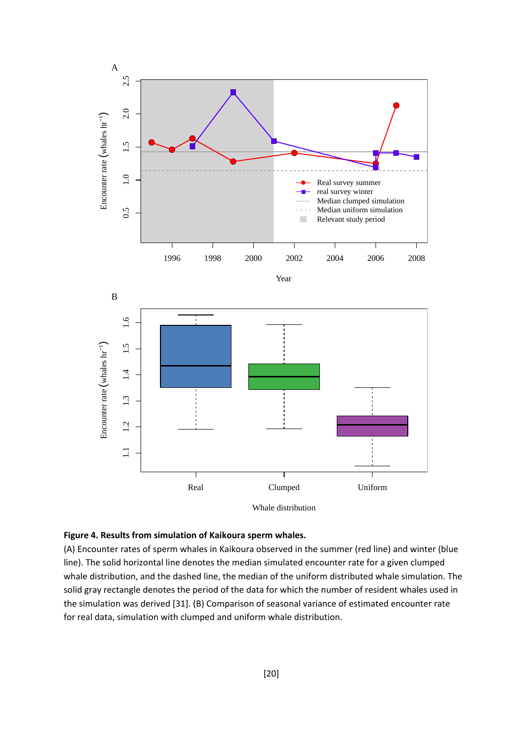



#### **Figure 4. Results from simulation of Kaikoura sperm whales.**

(A) Encounter rates of sperm whales in Kaikoura observed in the summer (red line) and winter (blue line). The solid horizontal line denotes the median simulated encounter rate for a given clumped whale distribution, and the dashed line, the median of the uniform distributed whale simulation. The solid gray rectangle denotes the period of the data for which the number of resident whales used in the simulation was derived [31]. (B) Comparison of seasonal variance of estimated encounter rate for real data, simulation with clumped and uniform whale distribution.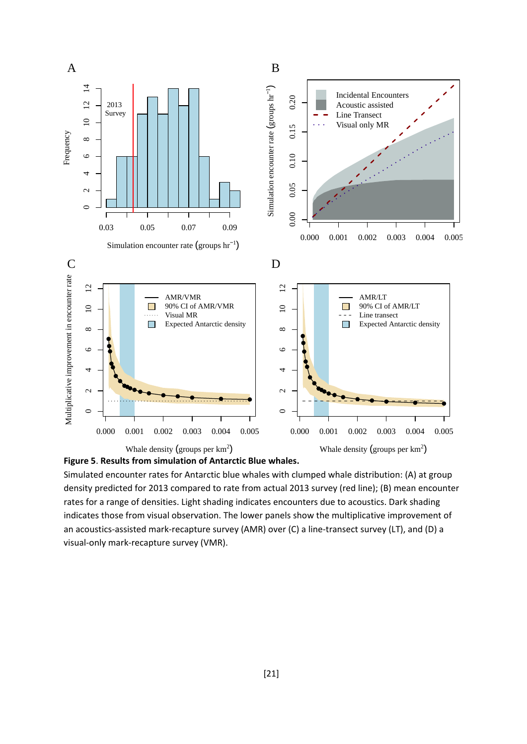

**Figure 5**. **Results from simulation of Antarctic Blue whales.**

Simulated encounter rates for Antarctic blue whales with clumped whale distribution: (A) at group density predicted for 2013 compared to rate from actual 2013 survey (red line); (B) mean encounter rates for a range of densities. Light shading indicates encounters due to acoustics. Dark shading indicates those from visual observation. The lower panels show the multiplicative improvement of an acoustics-assisted mark-recapture survey (AMR) over (C) a line-transect survey (LT), and (D) a visual‐only mark‐recapture survey (VMR).